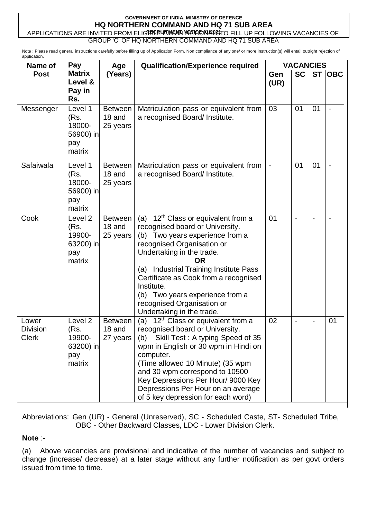## **GOVERNMENT OF INDIA, MINISTRY OF DEFENCE HQ NORTHERN COMMAND AND HQ 71 SUB AREA**

**APPLICATIONS ARE INVITED FROM ELIGIBLE INDIAN NATIONALLY TO FILL UP FOLLOWING VACANCIES OF** GROUP 'C' OF HQ NORTHERN COMMAND AND HQ 71 SUB AREA

Note : Please read general instructions carefully before filling up of Application Form. Non compliance of any one/ or more instruction(s) will entail outright rejection of application.

| Name of                                  | Pay<br>Age                                                         |                                      | <b>Qualification/Experience required</b>                                                                                                                                                                                                                                                                                                                                                    | <b>VACANCIES</b> |           |    |        |
|------------------------------------------|--------------------------------------------------------------------|--------------------------------------|---------------------------------------------------------------------------------------------------------------------------------------------------------------------------------------------------------------------------------------------------------------------------------------------------------------------------------------------------------------------------------------------|------------------|-----------|----|--------|
| <b>Post</b>                              | <b>Matrix</b><br>Level &<br>Pay in<br>Rs.                          | (Years)                              |                                                                                                                                                                                                                                                                                                                                                                                             | Gen<br>(UR)      | <b>SC</b> |    | ST OBC |
| Messenger                                | Level 1<br>(Rs.<br>18000-<br>56900) in<br>pay<br>matrix            | <b>Between</b><br>18 and<br>25 years | Matriculation pass or equivalent from<br>a recognised Board/ Institute.                                                                                                                                                                                                                                                                                                                     | 03               | 01        | 01 |        |
| Safaiwala                                | Level 1<br>(Rs.<br>18000-<br>56900) in<br>pay<br>matrix            | <b>Between</b><br>18 and<br>25 years | Matriculation pass or equivalent from<br>a recognised Board/ Institute.                                                                                                                                                                                                                                                                                                                     | $\blacksquare$   | 01        | 01 |        |
| Cook                                     | Level <sub>2</sub><br>(Rs.<br>19900-<br>63200) in<br>pay<br>matrix | <b>Between</b><br>18 and<br>25 years | 12 <sup>th</sup> Class or equivalent from a<br>(a)<br>recognised board or University.<br>Two years experience from a<br>(b)<br>recognised Organisation or<br>Undertaking in the trade.<br>OR<br>(a) Industrial Training Institute Pass<br>Certificate as Cook from a recognised<br>Institute.<br>(b) Two years experience from a<br>recognised Organisation or<br>Undertaking in the trade. | 01               |           |    |        |
| Lower<br><b>Division</b><br><b>Clerk</b> | Level <sub>2</sub><br>(Rs.<br>19900-<br>63200) in<br>pay<br>matrix | <b>Between</b><br>18 and<br>27 years | 12 <sup>th</sup> Class or equivalent from a<br>(a)<br>recognised board or University.<br>Skill Test: A typing Speed of 35<br>(b)<br>wpm in English or 30 wpm in Hindi on<br>computer.<br>(Time allowed 10 Minute) (35 wpm<br>and 30 wpm correspond to 10500<br>Key Depressions Per Hour/ 9000 Key<br>Depressions Per Hour on an average<br>of 5 key depression for each word)               | 02               |           |    | 01     |

Abbreviations: Gen (UR) - General (Unreserved), SC - Scheduled Caste, ST- Scheduled Tribe, OBC - Other Backward Classes, LDC - Lower Division Clerk.

#### **Note** :-

(a) Above vacancies are provisional and indicative of the number of vacancies and subject to change (increase/ decrease) at a later stage without any further notification as per govt orders issued from time to time.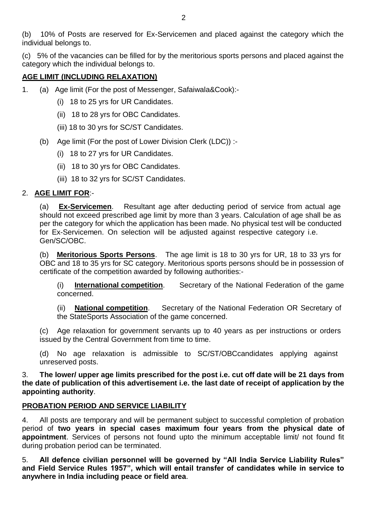(b) 10% of Posts are reserved for Ex-Servicemen and placed against the category which the individual belongs to.

(c) 5% of the vacancies can be filled for by the meritorious sports persons and placed against the category which the individual belongs to.

# **AGE LIMIT (INCLUDING RELAXATION)**

- 1. (a) Age limit (For the post of Messenger, Safaiwala&Cook):-
	- (i) 18 to 25 yrs for UR Candidates.
	- (ii) 18 to 28 yrs for OBC Candidates.
	- (iii) 18 to 30 yrs for SC/ST Candidates.
	- (b) Age limit (For the post of Lower Division Clerk (LDC)) :-
		- (i) 18 to 27 yrs for UR Candidates.
		- (ii) 18 to 30 yrs for OBC Candidates.
		- (iii) 18 to 32 yrs for SC/ST Candidates.

## 2. **AGE LIMIT FOR**:-

(a) **Ex-Servicemen**. Resultant age after deducting period of service from actual age should not exceed prescribed age limit by more than 3 years. Calculation of age shall be as per the category for which the application has been made. No physical test will be conducted for Ex-Servicemen. On selection will be adjusted against respective category i.e. Gen/SC/OBC.

(b) **Meritorious Sports Persons**. The age limit is 18 to 30 yrs for UR, 18 to 33 yrs for OBC and 18 to 35 yrs for SC category. Meritorious sports persons should be in possession of certificate of the competition awarded by following authorities:-

(i) **International competition**. Secretary of the National Federation of the game concerned.

(ii) **National competition**. Secretary of the National Federation OR Secretary of the StateSports Association of the game concerned.

(c) Age relaxation for government servants up to 40 years as per instructions or orders issued by the Central Government from time to time.

(d) No age relaxation is admissible to SC/ST/OBCcandidates applying against unreserved posts.

3. **The lower/ upper age limits prescribed for the post i.e. cut off date will be 21 days from the date of publication of this advertisement i.e. the last date of receipt of application by the appointing authority**.

# **PROBATION PERIOD AND SERVICE LIABILITY**

4. All posts are temporary and will be permanent subject to successful completion of probation period of **two years in special cases maximum four years from the physical date of appointment**. Services of persons not found upto the minimum acceptable limit/ not found fit during probation period can be terminated.

5. **All defence civilian personnel will be governed by "All India Service Liability Rules" and Field Service Rules 1957", which will entail transfer of candidates while in service to anywhere in India including peace or field area**.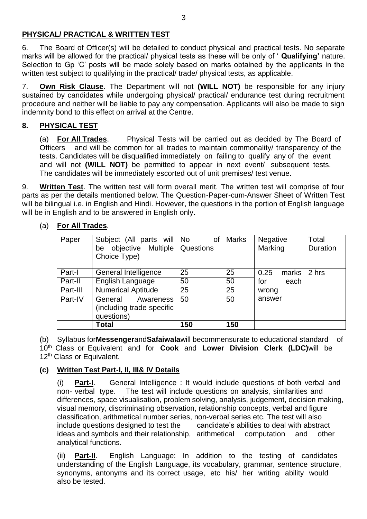## **PHYSICAL/ PRACTICAL & WRITTEN TEST**

6. The Board of Officer(s) will be detailed to conduct physical and practical tests. No separate marks will be allowed for the practical/ physical tests as these will be only of ' **Qualifying'** nature. Selection to Gp 'C' posts will be made solely based on marks obtained by the applicants in the written test subject to qualifying in the practical/ trade/ physical tests, as applicable.

7. **Own Risk Clause**. The Department will not **(WILL NOT)** be responsible for any injury sustained by candidates while undergoing physical/ practical/ endurance test during recruitment procedure and neither will be liable to pay any compensation. Applicants will also be made to sign indemnity bond to this effect on arrival at the Centre.

## **8. PHYSICAL TEST**

(a) **For All Trades**. Physical Tests will be carried out as decided by The Board of Officers and will be common for all trades to maintain commonality/ transparency of the tests. Candidates will be disqualified immediately on failing to qualify any of the event and will not **(WILL NOT)** be permitted to appear in next event/ subsequent tests. The candidates will be immediately escorted out of unit premises/ test venue.

9. **Written Test**. The written test will form overall merit. The written test will comprise of four parts as per the details mentioned below. The Question-Paper-cum-Answer Sheet of Written Test will be bilingual i.e. in English and Hindi. However, the questions in the portion of English language will be in English and to be answered in English only.

| Paper    | Subject (All parts will   No<br>be objective Multiple<br>Choice Type) | οf<br>Questions | <b>Marks</b> | <b>Negative</b><br>Marking | Total<br>Duration |
|----------|-----------------------------------------------------------------------|-----------------|--------------|----------------------------|-------------------|
| Part-I   | General Intelligence                                                  | 25              | 25           | 0.25<br>marks              | 2 hrs             |
| Part-II  | English Language                                                      | 50              | 50           | for<br>each                |                   |
| Part-III | <b>Numerical Aptitude</b>                                             | 25              | 25           | wrong                      |                   |
| Part-IV  | General<br>Awareness<br>(including trade specific<br>questions)       | 50              | 50           | answer                     |                   |
|          | Total                                                                 | 150             | 150          |                            |                   |

(a) **For All Trades**.

(b) Syllabus for**Messenger**and**Safaiwala**will becommensurate to educational standard of 10th Class or Equivalent and for **Cook** and **Lower Division Clerk (LDC)**will be 12<sup>th</sup> Class or Equivalent.

# **(c) Written Test Part-I, II, III& IV Details**

(i) **Part-I**. General Intelligence : It would include questions of both verbal and non- verbal type. The test will include questions on analysis, similarities and differences, space visualisation, problem solving, analysis, judgement, decision making, visual memory, discriminating observation, relationship concepts, verbal and figure classification, arithmetical number series, non-verbal series etc. The test will also include questions designed to test the candidate's abilities to deal with abstract ideas and symbols and their relationship, arithmetical computation and other analytical functions.

(ii) **Part-II**. English Language: In addition to the testing of candidates understanding of the English Language, its vocabulary, grammar, sentence structure, synonyms, antonyms and its correct usage, etc his/ her writing ability would also be tested.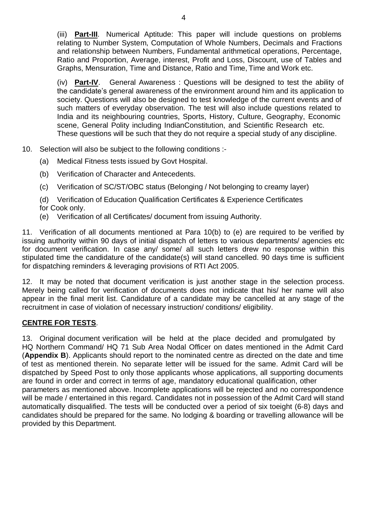(iii) **Part-III**. Numerical Aptitude: This paper will include questions on problems relating to Number System, Computation of Whole Numbers, Decimals and Fractions and relationship between Numbers, Fundamental arithmetical operations, Percentage, Ratio and Proportion, Average, interest, Profit and Loss, Discount, use of Tables and Graphs, Mensuration, Time and Distance, Ratio and Time, Time and Work etc.

(iv) **Part-IV**. General Awareness : Questions will be designed to test the ability of the candidate's general awareness of the environment around him and its application to society. Questions will also be designed to test knowledge of the current events and of such matters of everyday observation. The test will also include questions related to India and its neighbouring countries, Sports, History, Culture, Geography, Economic scene, General Polity including IndianConstitution, and Scientific Research etc. These questions will be such that they do not require a special study of any discipline.

- 10. Selection will also be subject to the following conditions :-
	- (a) Medical Fitness tests issued by Govt Hospital.
	- (b) Verification of Character and Antecedents.
	- (c) Verification of SC/ST/OBC status (Belonging / Not belonging to creamy layer)

(d) Verification of Education Qualification Certificates & Experience Certificates for Cook only.

(e) Verification of all Certificates/ document from issuing Authority.

11. Verification of all documents mentioned at Para 10(b) to (e) are required to be verified by issuing authority within 90 days of initial dispatch of letters to various departments/ agencies etc for document verification. In case any/ some/ all such letters drew no response within this stipulated time the candidature of the candidate(s) will stand cancelled. 90 days time is sufficient for dispatching reminders & leveraging provisions of RTI Act 2005.

12. It may be noted that document verification is just another stage in the selection process. Merely being called for verification of documents does not indicate that his/ her name will also appear in the final merit list. Candidature of a candidate may be cancelled at any stage of the recruitment in case of violation of necessary instruction/ conditions/ eligibility.

#### **CENTRE FOR TESTS**.

13. Original document verification will be held at the place decided and promulgated by HQ Northern Command/ HQ 71 Sub Area Nodal Officer on dates mentioned in the Admit Card (**Appendix B**). Applicants should report to the nominated centre as directed on the date and time of test as mentioned therein. No separate letter will be issued for the same. Admit Card will be dispatched by Speed Post to only those applicants whose applications, all supporting documents are found in order and correct in terms of age, mandatory educational qualification, other parameters as mentioned above. Incomplete applications will be rejected and no correspondence will be made / entertained in this regard. Candidates not in possession of the Admit Card will stand automatically disqualified. The tests will be conducted over a period of six toeight (6-8) days and candidates should be prepared for the same. No lodging & boarding or travelling allowance will be provided by this Department.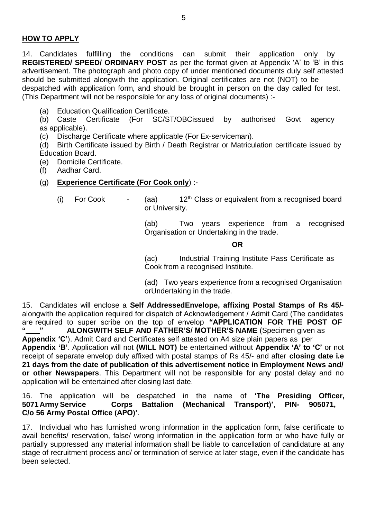#### **HOW TO APPLY**

14. Candidates fulfilling the conditions can submit their application only by **REGISTERED/ SPEED/ ORDINARY POST** as per the format given at Appendix 'A' to 'B' in this advertisement. The photograph and photo copy of under mentioned documents duly self attested should be submitted alongwith the application. Original certificates are not (NOT) to be despatched with application form, and should be brought in person on the day called for test. (This Department will not be responsible for any loss of original documents) :-

(a) Education Qualification Certificate.

(b) Caste Certificate (For SC/ST/OBCissued by authorised Govt agency as applicable).

(c) Discharge Certificate where applicable (For Ex-serviceman).

(d) Birth Certificate issued by Birth / Death Registrar or Matriculation certificate issued by Education Board.

(e) Domicile Certificate.

(f) Aadhar Card.

#### (g) **Experience Certificate (For Cook only**) :-

- 
- (i) For Cook  $\sim$  (aa)  $12^{\text{th}}$  Class or equivalent from a recognised board or University.

(ab) Two years experience from a recognised Organisation or Undertaking in the trade.

#### **OR**

(ac) Industrial Training Institute Pass Certificate as Cook from a recognised Institute.

(ad) Two years experience from a recognised Organisation orUndertaking in the trade.

15. Candidates will enclose a **Self AddressedEnvelope, affixing Postal Stamps of Rs 45/** alongwith the application required for dispatch of Acknowledgement / Admit Card (The candidates are required to super scribe on the top of envelop **"APPLICATION FOR THE POST OF**

**" " ALONGWITH SELF AND FATHER'S/ MOTHER'S NAME** (Specimen given as **Appendix 'C'**). Admit Card and Certificates self attested on A4 size plain papers as per **Appendix 'B'**. Application will not **(WILL NOT)** be entertained without **Appendix 'A' to 'C'** or not receipt of separate envelop duly affixed with postal stamps of Rs 45/- and after **closing date i.e 21 days from the date of publication of this advertisement notice in Employment News and/ or other Newspapers**. This Department will not be responsible for any postal delay and no application will be entertained after closing last date.

16. The application will be despatched in the name of **'The Presiding Officer, 5071Army Service Corps Battalion (Mechanical Transport)'**, **PIN- 905071, C/o 56 Army Postal Office (APO)'**.

17. Individual who has furnished wrong information in the application form, false certificate to avail benefits/ reservation, false/ wrong information in the application form or who have fully or partially suppressed any material information shall be liable to cancellation of candidature at any stage of recruitment process and/ or termination of service at later stage, even if the candidate has been selected.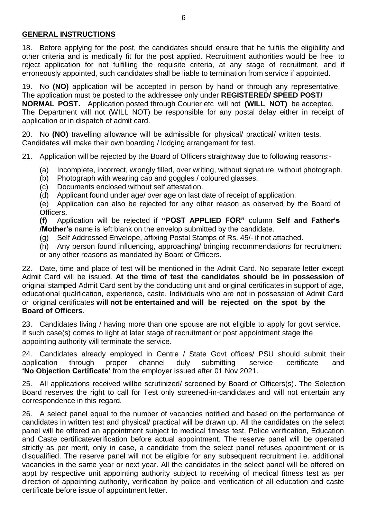### **GENERAL INSTRUCTIONS**

18. Before applying for the post, the candidates should ensure that he fulfils the eligibility and other criteria and is medically fit for the post applied. Recruitment authorities would be free to reject application for not fulfilling the requisite criteria, at any stage of recruitment, and if erroneously appointed, such candidates shall be liable to termination from service if appointed.

19. No **(NO)** application will be accepted in person by hand or through any representative. The application must be posted to the addressee only under **REGISTERED/ SPEED POST/ NORMAL POST.** Application posted through Courier etc will not **(WILL NOT)** be accepted. The Department will not (WILL NOT) be responsible for any postal delay either in receipt of application or in dispatch of admit card.

20. No **(NO)** travelling allowance will be admissible for physical/ practical/ written tests. Candidates will make their own boarding / lodging arrangement for test.

- 21. Application will be rejected by the Board of Officers straightway due to following reasons:-
	- (a) Incomplete, incorrect, wrongly filled, over writing, without signature, without photograph.
	- (b) Photograph with wearing cap and goggles / coloured glasses.
	- (c) Documents enclosed without self attestation.
	- (d) Applicant found under age/ over age on last date of receipt of application.

(e) Application can also be rejected for any other reason as observed by the Board of Officers.

**(f)** Application will be rejected if **"POST APPLIED FOR"** column **Self and Father's /Mother's** name is left blank on the envelop submitted by the candidate.

(g) Self Addressed Envelope, affixing Postal Stamps of Rs. 45/- if not attached.

(h) Any person found influencing, approaching/ bringing recommendations for recruitment or any other reasons as mandated by Board of Officers.

22. Date, time and place of test will be mentioned in the Admit Card. No separate letter except Admit Card will be issued. **At the time of test the candidates should be in possession of** original stamped Admit Card sent by the conducting unit and original certificates in support of age, educational qualification, experience, caste. Individuals who are not in possession of Admit Card or original certificates **will not be entertained and will be rejected on the spot by the Board of Officers**.

23. Candidates living / having more than one spouse are not eligible to apply for govt service. If such case(s) comes to light at later stage of recruitment or post appointment stage the appointing authority will terminate the service.

24. Candidates already employed in Centre / State Govt offices/ PSU should submit their application through proper channel duly submitting service certificate and **'No Objection Certificate'** from the employer issued after 01 Nov 2021.

25. All applications received willbe scrutinized/ screened by Board of Officers(s)**.** The Selection Board reserves the right to call for Test only screened-in-candidates and will not entertain any correspondence in this regard.

26. A select panel equal to the number of vacancies notified and based on the performance of candidates in written test and physical/ practical will be drawn up. All the candidates on the select panel will be offered an appointment subject to medical fitness test, Police verification, Education and Caste certificateverification before actual appointment. The reserve panel will be operated strictly as per merit, only in case, a candidate from the select panel refuses appointment or is disqualified. The reserve panel will not be eligible for any subsequent recruitment i.e. additional vacancies in the same year or next year. All the candidates in the select panel will be offered on appt by respective unit appointing authority subject to receiving of medical fitness test as per direction of appointing authority, verification by police and verification of all education and caste certificate before issue of appointment letter.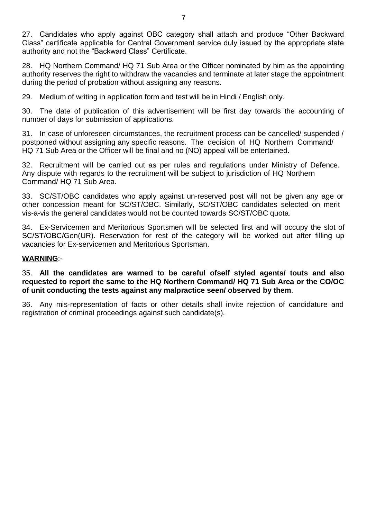27. Candidates who apply against OBC category shall attach and produce "Other Backward Class" certificate applicable for Central Government service duly issued by the appropriate state authority and not the "Backward Class" Certificate.

28. HQ Northern Command/ HQ 71 Sub Area or the Officer nominated by him as the appointing authority reserves the right to withdraw the vacancies and terminate at later stage the appointment during the period of probation without assigning any reasons.

29. Medium of writing in application form and test will be in Hindi / English only.

30. The date of publication of this advertisement will be first day towards the accounting of number of days for submission of applications.

31. In case of unforeseen circumstances, the recruitment process can be cancelled/ suspended / postponed without assigning any specific reasons. The decision of HQ Northern Command/ HQ 71 Sub Area or the Officer will be final and no (NO) appeal will be entertained.

32. Recruitment will be carried out as per rules and regulations under Ministry of Defence. Any dispute with regards to the recruitment will be subject to jurisdiction of HQ Northern Command/ HQ 71 Sub Area.

33. SC/ST/OBC candidates who apply against un-reserved post will not be given any age or other concession meant for SC/ST/OBC. Similarly, SC/ST/OBC candidates selected on merit vis-a-vis the general candidates would not be counted towards SC/ST/OBC quota.

34. Ex-Servicemen and Meritorious Sportsmen will be selected first and will occupy the slot of SC/ST/OBC/Gen(UR). Reservation for rest of the category will be worked out after filling up vacancies for Ex-servicemen and Meritorious Sportsman.

#### **WARNING**:-

35. **All the candidates are warned to be careful ofself styled agents/ touts and also requested to report the same to the HQ Northern Command/ HQ 71 Sub Area or the CO/OC of unit conducting the tests against any malpractice seen/ observed by them**.

36. Any mis-representation of facts or other details shall invite rejection of candidature and registration of criminal proceedings against such candidate(s).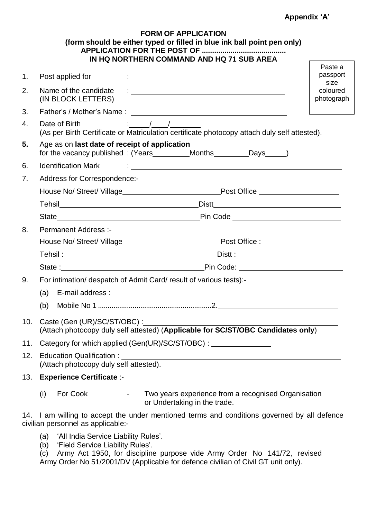#### **Appendix 'A'**

|     |                                                                                                                                                                                                                                | <b>FORM OF APPLICATION</b><br>(form should be either typed or filled in blue ink ball point pen only)<br>IN HQ NORTHERN COMMAND AND HQ 71 SUB AREA |                                |
|-----|--------------------------------------------------------------------------------------------------------------------------------------------------------------------------------------------------------------------------------|----------------------------------------------------------------------------------------------------------------------------------------------------|--------------------------------|
| 1.  | Post applied for                                                                                                                                                                                                               |                                                                                                                                                    | Paste a<br>passport            |
| 2.  | (IN BLOCK LETTERS)                                                                                                                                                                                                             |                                                                                                                                                    | size<br>coloured<br>photograph |
| 3.  |                                                                                                                                                                                                                                |                                                                                                                                                    |                                |
| 4.  | $\frac{1}{2}$ $\frac{1}{2}$ $\frac{1}{2}$<br>Date of Birth<br>(As per Birth Certificate or Matriculation certificate photocopy attach duly self attested).                                                                     |                                                                                                                                                    |                                |
| 5.  | Age as on last date of receipt of application                                                                                                                                                                                  |                                                                                                                                                    |                                |
| 6.  | Identification Mark (Contract of Contract of Contract of Contract of Contract of Contract of Contract of Contr                                                                                                                 |                                                                                                                                                    |                                |
| 7.  | Address for Correspondence:-                                                                                                                                                                                                   |                                                                                                                                                    |                                |
|     |                                                                                                                                                                                                                                |                                                                                                                                                    |                                |
|     |                                                                                                                                                                                                                                |                                                                                                                                                    |                                |
|     |                                                                                                                                                                                                                                |                                                                                                                                                    |                                |
| 8.  | <b>Permanent Address:-</b>                                                                                                                                                                                                     |                                                                                                                                                    |                                |
|     |                                                                                                                                                                                                                                |                                                                                                                                                    |                                |
|     |                                                                                                                                                                                                                                |                                                                                                                                                    |                                |
|     |                                                                                                                                                                                                                                |                                                                                                                                                    |                                |
| 9.  | For intimation/ despatch of Admit Card/ result of various tests):-                                                                                                                                                             |                                                                                                                                                    |                                |
|     | (a) E-mail address : the contract of the contract of the contract of the contract of the contract of the contract of the contract of the contract of the contract of the contract of the contract of the contract of the contr |                                                                                                                                                    |                                |
|     |                                                                                                                                                                                                                                |                                                                                                                                                    |                                |
|     | 10. Caste (Gen (UR)/SC/ST/OBC) :<br>(Attach photocopy duly self attested) (Applicable for SC/ST/OBC Candidates only)                                                                                                           |                                                                                                                                                    |                                |
| 11. | Category for which applied (Gen(UR)/SC/ST/OBC) : _______________________________                                                                                                                                               |                                                                                                                                                    |                                |
| 12. | (Attach photocopy duly self attested).                                                                                                                                                                                         |                                                                                                                                                    |                                |
| 13. | <b>Experience Certificate :-</b>                                                                                                                                                                                               |                                                                                                                                                    |                                |
|     | For Cook<br>(i)<br><b>All Control</b>                                                                                                                                                                                          | Two years experience from a recognised Organisation<br>or Undertaking in the trade.                                                                |                                |

14. I am willing to accept the under mentioned terms and conditions governed by all defence civilian personnel as applicable:-

- (a) 'All India Service Liability Rules'.
- (b) 'Field Service Liability Rules'.

(c) Army Act 1950, for discipline purpose vide Army Order No 141/72, revised Army Order No 51/2001/DV (Applicable for defence civilian of Civil GT unit only).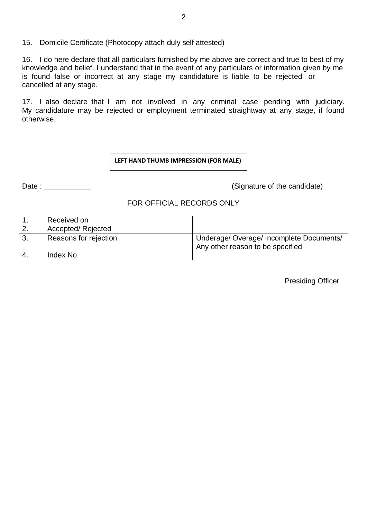15. Domicile Certificate (Photocopy attach duly self attested)

16. I do here declare that all particulars furnished by me above are correct and true to best of my knowledge and belief. I understand that in the event of any particulars or information given by me is found false or incorrect at any stage my candidature is liable to be rejected or cancelled at any stage.

17. I also declare that I am not involved in any criminal case pending with judiciary. My candidature may be rejected or employment terminated straightway at any stage, if found otherwise.

**LEFT HAND THUMB IMPRESSION (FOR MALE)**

Date : (Signature of the candidate)

#### FOR OFFICIAL RECORDS ONLY

| Received on           |                                                                            |
|-----------------------|----------------------------------------------------------------------------|
| Accepted/Rejected     |                                                                            |
| Reasons for rejection | Underage/Overage/Incomplete Documents/<br>Any other reason to be specified |
| Index No              |                                                                            |

Presiding Officer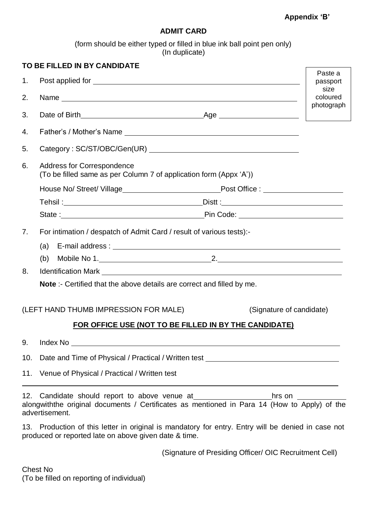## **Appendix 'B'**

## **ADMIT CARD**

(form should be either typed or filled in blue ink ball point pen only) (In duplicate)

|     | TO BE FILLED IN BY CANDIDATE                                                                                                                                |                                                                                                                       |                     |
|-----|-------------------------------------------------------------------------------------------------------------------------------------------------------------|-----------------------------------------------------------------------------------------------------------------------|---------------------|
| 1.  |                                                                                                                                                             |                                                                                                                       | Paste a<br>passport |
| 2.  |                                                                                                                                                             |                                                                                                                       | size<br>coloured    |
| 3.  |                                                                                                                                                             |                                                                                                                       | photograph          |
| 4.  |                                                                                                                                                             |                                                                                                                       |                     |
| 5.  |                                                                                                                                                             |                                                                                                                       |                     |
| 6.  | <b>Address for Correspondence</b><br>(To be filled same as per Column 7 of application form (Appx 'A'))                                                     |                                                                                                                       |                     |
|     |                                                                                                                                                             |                                                                                                                       |                     |
|     |                                                                                                                                                             |                                                                                                                       |                     |
|     |                                                                                                                                                             |                                                                                                                       |                     |
| 7.  | For intimation / despatch of Admit Card / result of various tests):                                                                                         |                                                                                                                       |                     |
|     |                                                                                                                                                             |                                                                                                                       |                     |
| 8.  |                                                                                                                                                             |                                                                                                                       |                     |
|     | <b>Note</b> : Certified that the above details are correct and filled by me.                                                                                |                                                                                                                       |                     |
|     | (LEFT HAND THUMB IMPRESSION FOR MALE)                                                                                                                       | (Signature of candidate)                                                                                              |                     |
|     | FOR OFFICE USE (NOT TO BE FILLED IN BY THE CANDIDATE)                                                                                                       |                                                                                                                       |                     |
| 9.  | Index No                                                                                                                                                    | <u> 1980 - Johann Stoff, deutscher Stoff, der Stoff, der Stoff, der Stoff, der Stoff, der Stoff, der Stoff, der S</u> |                     |
| 10. | Date and Time of Physical / Practical / Written test ___________________________                                                                            |                                                                                                                       |                     |
|     | 11. Venue of Physical / Practical / Written test                                                                                                            |                                                                                                                       |                     |
| 12. | alongwiththe original documents / Certificates as mentioned in Para 14 (How to Apply) of the<br>advertisement.                                              | hrs on                                                                                                                |                     |
|     | 13. Production of this letter in original is mandatory for entry. Entry will be denied in case not<br>produced or reported late on above given date & time. |                                                                                                                       |                     |

(Signature of Presiding Officer/ OIC Recruitment Cell)

Chest No (To be filled on reporting of individual)